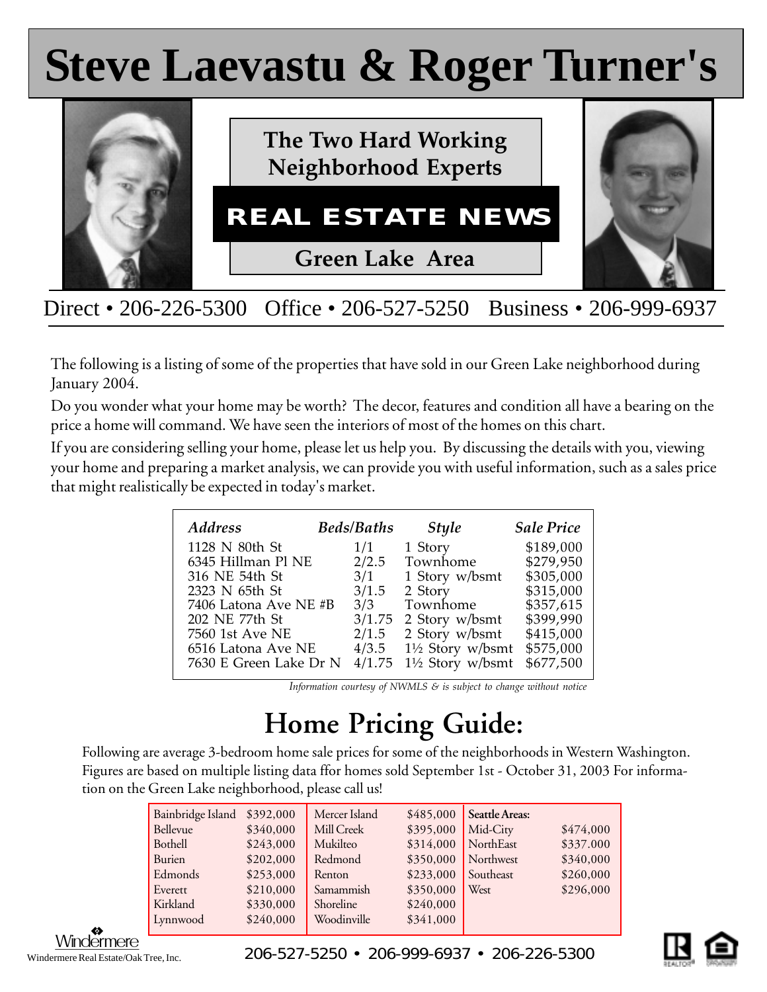# **Steve Laevastu & Roger Turner's Steve Laevastu & Roger Turner's**



Direct • 206-226-5300 Office • 206-527-5250 Business • 206-999-6937

The following is a listing of some of the properties that have sold in our Green Lake neighborhood during January 2004.

Do you wonder what your home may be worth? The decor, features and condition all have a bearing on the price a home will command. We have seen the interiors of most of the homes on this chart.

If you are considering selling your home, please let us help you. By discussing the details with you, viewing your home and preparing a market analysis, we can provide you with useful information, such as a sales price that might realistically be expected in today's market.

| <b>Address</b>         | <b>Beds/Baths</b> | <b>Style</b>                | <b>Sale Price</b> |
|------------------------|-------------------|-----------------------------|-------------------|
| 1128 N 80th St         | 1/1               | 1 Story                     | \$189,000         |
| 6345 Hillman Pl NE     | 2/2.5             | Townhome                    | \$279,950         |
| 316 NE 54th St         | 3/1               | 1 Story w/bsmt              | \$305,000         |
| 2323 N 65th St         | 3/1.5             | 2 Story                     | \$315,000         |
| 7406 Latona Ave NE #B  | 3/3               | Townhome                    | \$357,615         |
| 202 NE 77th St         | 3/1.75            | 2 Story w/bsmt              | \$399,990         |
| 7560 1st Ave NE        | 2/1.5             | 2 Story w/bsmt              | \$415,000         |
| 6516 Latona Ave NE     | 4/3.5             | $1\frac{1}{2}$ Story w/bsmt | \$575,000         |
| 7630 E Green Lake Dr N | 4/1.75            | $1\frac{1}{2}$ Story w/bsmt | \$677,500         |

*Information courtesy of NWMLS & is subject to change without notice*

## **Home Pricing Guide:**

Following are average 3-bedroom home sale prices for some of the neighborhoods in Western Washington. Figures are based on multiple listing data ffor homes sold September 1st - October 31, 2003 For information on the Green Lake neighborhood, please call us!

| Bainbridge Island<br>\$392,000<br>\$340,000<br>Bellevue<br>\$243,000<br>Bothell<br>\$202,000<br>Burien<br>\$253,000<br>Edmonds<br>\$210,000<br>Everett<br>\$330,000<br>Kirkland<br>\$240,000<br>Lynnwood | Mercer Island<br>Mill Creek<br>Mukilteo<br>Redmond<br>Renton<br>Samammish<br>Shoreline<br>Woodinville | \$485,000<br>\$395,000<br>\$314,000<br>\$350,000<br>\$233,000<br>\$350,000<br>\$240,000<br>\$341,000 | Seattle Areas:<br>Mid-City<br>NorthEast<br>Northwest<br>Southeast<br>West | \$474,000<br>\$337.000<br>\$340,000<br>\$260,000<br>\$296,000 |
|----------------------------------------------------------------------------------------------------------------------------------------------------------------------------------------------------------|-------------------------------------------------------------------------------------------------------|------------------------------------------------------------------------------------------------------|---------------------------------------------------------------------------|---------------------------------------------------------------|
|----------------------------------------------------------------------------------------------------------------------------------------------------------------------------------------------------------|-------------------------------------------------------------------------------------------------------|------------------------------------------------------------------------------------------------------|---------------------------------------------------------------------------|---------------------------------------------------------------|

Windermere Real Estate/Oak Tree, Inc.

 $\frac{\text{Windermere}}{\text{inner Real State/Oak Tree Inc}}$  206-527-5250 • 206-999-6937 • 206-226-5300